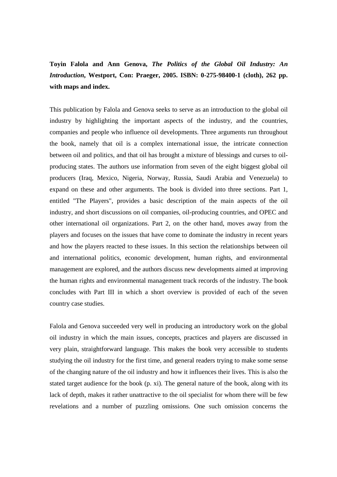## **Toyin Falola and Ann Genova,** *The Politics of the Global Oil Industry: An Introduction***, Westport, Con: Praeger, 2005. ISBN: 0-275-98400-1 (cloth), 262 pp. with maps and index.**

This publication by Falola and Genova seeks to serve as an introduction to the global oil industry by highlighting the important aspects of the industry, and the countries, companies and people who influence oil developments. Three arguments run throughout the book, namely that oil is a complex international issue, the intricate connection between oil and politics, and that oil has brought a mixture of blessings and curses to oilproducing states. The authors use information from seven of the eight biggest global oil producers (Iraq, Mexico, Nigeria, Norway, Russia, Saudi Arabia and Venezuela) to expand on these and other arguments. The book is divided into three sections. Part 1, entitled "The Players", provides a basic description of the main aspects of the oil industry, and short discussions on oil companies, oil-producing countries, and OPEC and other international oil organizations. Part 2, on the other hand, moves away from the players and focuses on the issues that have come to dominate the industry in recent years and how the players reacted to these issues. In this section the relationships between oil and international politics, economic development, human rights, and environmental management are explored, and the authors discuss new developments aimed at improving the human rights and environmental management track records of the industry. The book concludes with Part III in which a short overview is provided of each of the seven country case studies.

Falola and Genova succeeded very well in producing an introductory work on the global oil industry in which the main issues, concepts, practices and players are discussed in very plain, straightforward language. This makes the book very accessible to students studying the oil industry for the first time, and general readers trying to make some sense of the changing nature of the oil industry and how it influences their lives. This is also the stated target audience for the book (p. xi). The general nature of the book, along with its lack of depth, makes it rather unattractive to the oil specialist for whom there will be few revelations and a number of puzzling omissions. One such omission concerns the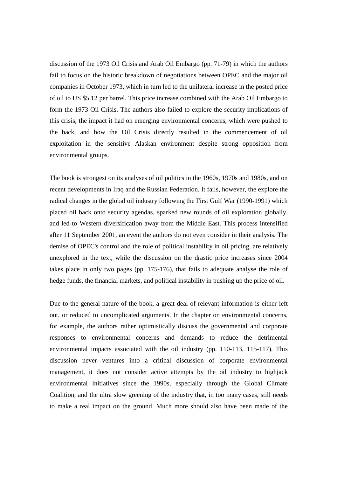discussion of the 1973 Oil Crisis and Arab Oil Embargo (pp. 71-79) in which the authors fail to focus on the historic breakdown of negotiations between OPEC and the major oil companies in October 1973, which in turn led to the unilateral increase in the posted price of oil to US \$5.12 per barrel. This price increase combined with the Arab Oil Embargo to form the 1973 Oil Crisis. The authors also failed to explore the security implications of this crisis, the impact it had on emerging environmental concerns, which were pushed to the back, and how the Oil Crisis directly resulted in the commencement of oil exploitation in the sensitive Alaskan environment despite strong opposition from environmental groups.

The book is strongest on its analyses of oil politics in the 1960s, 1970s and 1980s, and on recent developments in Iraq and the Russian Federation. It fails, however, the explore the radical changes in the global oil industry following the First Gulf War (1990-1991) which placed oil back onto security agendas, sparked new rounds of oil exploration globally, and led to Western diversification away from the Middle East. This process intensified after 11 September 2001, an event the authors do not even consider in their analysis. The demise of OPEC's control and the role of political instability in oil pricing, are relatively unexplored in the text, while the discussion on the drastic price increases since 2004 takes place in only two pages (pp. 175-176), that fails to adequate analyse the role of hedge funds, the financial markets, and political instability in pushing up the price of oil.

Due to the general nature of the book, a great deal of relevant information is either left out, or reduced to uncomplicated arguments. In the chapter on environmental concerns, for example, the authors rather optimistically discuss the governmental and corporate responses to environmental concerns and demands to reduce the detrimental environmental impacts associated with the oil industry (pp. 110-113, 115-117). This discussion never ventures into a critical discussion of corporate environmental management, it does not consider active attempts by the oil industry to highjack environmental initiatives since the 1990s, especially through the Global Climate Coalition, and the ultra slow greening of the industry that, in too many cases, still needs to make a real impact on the ground. Much more should also have been made of the